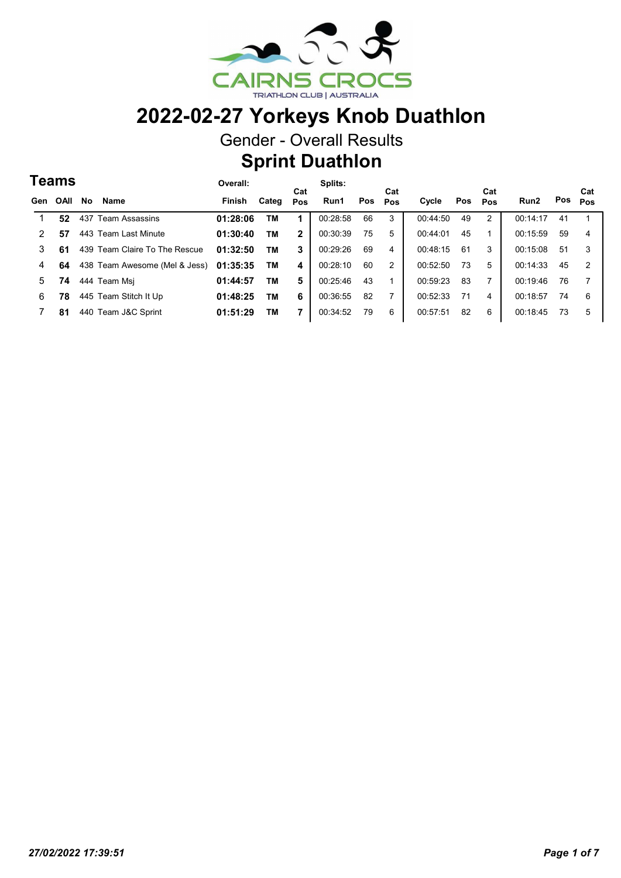

Gender - Overall Results

#### Sprint Duathlon

Cat

Cat Pos

#### Teams Gen OAII No Name **Finish** Categ Cat OAll Pos Run1 Pos Cycle Pos Run2 Pos Cat Pos Pos Overall: Splits: 1 52 437 Team Assassins 01:28:06 1 TM 00:28:58 66 3 2 00:44:50 00:14:17 41 1 <sup>49</sup> 2 57 443 Team Last Minute 01:30:40 2 TM 00:30:39 75 5 1 00:44:01 00:15:59 59 4 <sup>45</sup> 3 61 439 Team Claire To The Rescue 01:32:50 TM 3  $\vert$  00:29:26 69 4  $\vert$  00:48:15 61 3  $\vert$  00:15:08 51 3 4 64 438 Team Awesome (Mel & Jess) 01:35:35 TM 4 | 00:28:10 60 2 | 00:52:50 73 5 | 00:14:33 45 2 5 74 444 Team Msj 01:44:57 5 TM 00:25:46 43 1 7 00:59:23 00:19:46 76 7 <sup>83</sup> 6 78 445 Team Stitch It Up  $01:48:25$  TM 6  $\big\vert$  00:36:55 82 7  $\big\vert$  00:52:33 71 4  $\big\vert$  00:18:57 74 6 7 81 440 Team J&C Sprint 01:51:29 7 TM 00:34:52 79 6 6 00:57:51 00:18:45 73 5 <sup>82</sup>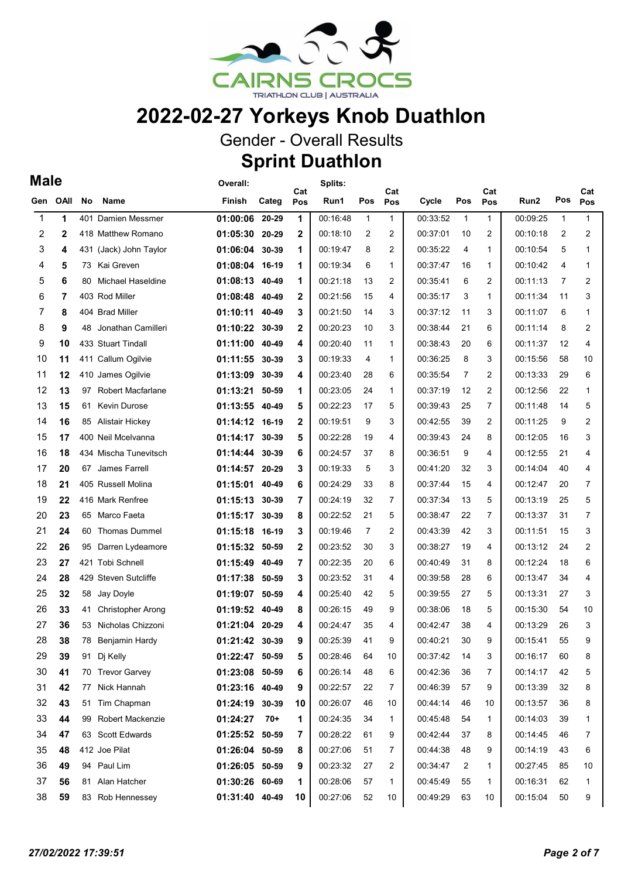

Gender - Overall Results

## Sprint Duathlon

| ×<br>۹<br>۰. |
|--------------|
|--------------|

| Male         |              |     |                          | Overall:       |       |              | Splits:     |              |                |          |                |                |          |                |                |
|--------------|--------------|-----|--------------------------|----------------|-------|--------------|-------------|--------------|----------------|----------|----------------|----------------|----------|----------------|----------------|
| Gen          | <b>OAII</b>  | No  | Name                     | Finish         | Categ | Cat<br>Pos   | Run1        | Pos          | Cat<br>Pos     | Cycle    | Pos            | Cat<br>Pos     | Run2     | Pos            | Cat<br>Pos     |
| $\mathbf{1}$ | 1            |     | 401 Damien Messmer       | 01:00:06 20-29 |       | 1            | 00:16:48    | $\mathbf{1}$ | $\mathbf{1}$   | 00:33:52 | $\mathbf{1}$   | $\mathbf{1}$   | 00:09:25 | $\mathbf{1}$   | $\mathbf{1}$   |
| 2            | $\mathbf{2}$ |     | 418 Matthew Romano       | 01:05:30 20-29 |       | $\mathbf{2}$ | 00:18:10    | 2            | 2              | 00:37:01 | 10             | 2              | 00:10:18 | $\overline{2}$ | 2              |
| 3            | 4            |     | 431 (Jack) John Taylor   | 01:06:04 30-39 |       | 1            | 00:19:47    | 8            | 2              | 00:35:22 | 4              | 1              | 00:10:54 | 5              | 1              |
| 4            | 5            | 73. | Kai Greven               | 01:08:04 16-19 |       | 1            | 00:19:34    | 6            | $\mathbf{1}$   | 00:37:47 | 16             | 1              | 00:10:42 | 4              | $\mathbf{1}$   |
| 5            | 6            | 80  | Michael Haseldine        | 01:08:13 40-49 |       | 1            | 00:21:18    | 13           | 2              | 00:35:41 | 6              | 2              | 00:11:13 | $\overline{7}$ | 2              |
| 6            | 7            |     | 403 Rod Miller           | 01:08:48 40-49 |       | 2            | 00:21:56    | 15           | 4              | 00:35:17 | 3              | 1              | 00:11:34 | 11             | 3              |
| 7            | 8            |     | 404 Brad Miller          | 01:10:11 40-49 |       | 3            | 00:21:50    | 14           | 3              | 00:37:12 | 11             | 3              | 00:11:07 | 6              | 1              |
| 8            | 9            | 48  | Jonathan Camilleri       | 01:10:22       | 30-39 | $\mathbf{2}$ | 00:20:23    | 10           | 3              | 00:38:44 | 21             | 6              | 00:11:14 | 8              | 2              |
| 9            | 10           |     | 433 Stuart Tindall       | 01:11:00 40-49 |       | 4            | 00:20:40    | 11           | $\mathbf{1}$   | 00:38:43 | 20             | 6              | 00:11:37 | 12             | 4              |
| 10           | 11           |     | 411 Callum Ogilvie       | 01:11:55       | 30-39 | 3            | 00:19:33    | 4            | $\mathbf{1}$   | 00:36:25 | 8              | 3              | 00:15:56 | 58             | 10             |
| 11           | 12           |     | 410 James Ogilvie        | 01:13:09 30-39 |       | 4            | 00:23:40    | 28           | 6              | 00:35:54 | $\overline{7}$ | 2              | 00:13:33 | 29             | 6              |
| 12           | 13           |     | 97 Robert Macfarlane     | 01:13:21 50-59 |       | 1            | 00:23:05    | 24           | $\mathbf{1}$   | 00:37:19 | 12             | $\overline{c}$ | 00:12:56 | 22             | $\mathbf{1}$   |
| 13           | 15           | 61  | <b>Kevin Durose</b>      | 01:13:55 40-49 |       | 5            | 00:22:23    | 17           | 5              | 00:39:43 | 25             | 7              | 00:11:48 | 14             | 5              |
| 14           | 16           |     | 85 Alistair Hickey       | 01:14:12 16-19 |       | $\mathbf{2}$ | 00:19:51    | 9            | 3              | 00:42:55 | 39             | 2              | 00:11:25 | 9              | 2              |
| 15           | 17           |     | 400 Neil Mcelvanna       | 01:14:17 30-39 |       | 5            | 00:22:28    | 19           | 4              | 00:39:43 | 24             | 8              | 00:12:05 | 16             | 3              |
| 16           | 18           |     | 434 Mischa Tunevitsch    | 01:14:44       | 30-39 | 6            | 00:24:57    | 37           | 8              | 00:36:51 | 9              | 4              | 00:12:55 | 21             | 4              |
| 17           | 20           |     | 67 James Farrell         | 01:14:57 20-29 |       | 3            | 00:19:33    | 5            | 3              | 00:41:20 | 32             | 3              | 00:14:04 | 40             | 4              |
| 18           | 21           |     | 405 Russell Molina       | 01:15:01       | 40-49 | 6            | 00:24:29    | 33           | 8              | 00:37:44 | 15             | 4              | 00:12:47 | 20             | 7              |
| 19           | 22           |     | 416 Mark Renfree         | 01:15:13 30-39 |       | 7            | 00:24:19    | 32           | $\overline{7}$ | 00:37:34 | 13             | 5              | 00:13:19 | 25             | 5              |
| 20           | 23           | 65  | Marco Faeta              | 01:15:17 30-39 |       | 8            | 00:22:52    | 21           | 5              | 00:38:47 | 22             | $\overline{7}$ | 00:13:37 | 31             | $\overline{7}$ |
| 21           | 24           | 60  | <b>Thomas Dummel</b>     | 01:15:18 16-19 |       | 3            | 00:19:46    | 7            | 2              | 00:43:39 | 42             | 3              | 00:11:51 | 15             | 3              |
| 22           | 26           | 95  | Darren Lydeamore         | 01:15:32 50-59 |       | $\mathbf{2}$ | 00:23:52    | 30           | 3              | 00:38:27 | 19             | 4              | 00:13:12 | 24             | 2              |
| 23           | 27           |     | 421 Tobi Schnell         | 01:15:49 40-49 |       | 7            | 00:22:35    | 20           | 6              | 00:40:49 | 31             | 8              | 00:12:24 | 18             | 6              |
| 24           | 28           |     | 429 Steven Sutcliffe     | 01:17:38 50-59 |       | 3            | 00:23:52    | 31           | 4              | 00:39:58 | 28             | 6              | 00:13:47 | 34             | 4              |
| 25           | 32           | 58  | Jay Doyle                | 01:19:07 50-59 |       | 4            | 00:25:40    | 42           | 5              | 00:39:55 | 27             | 5              | 00:13:31 | 27             | 3              |
| 26           | 33           | 41  | <b>Christopher Arong</b> | 01:19:52 40-49 |       | 8            | 00:26:15    | 49           | 9              | 00:38:06 | 18             | 5              | 00:15:30 | 54             | 10             |
| 27           | 36           |     | 53 Nicholas Chizzoni     | 01:21:04 20-29 |       | 4            | 00:24:47    | 35           | 4              | 00:42:47 | 38             | 4              | 00:13:29 | 26             | 3              |
| 28           | 38           |     | 78 Benjamin Hardy        | 01:21:42 30-39 |       | 9            | 00:25:39 41 |              | 9              | 00:40:21 | 30             | 9              | 00:15:41 | 55             | 9              |
| 29           | 39           |     | 91 Dj Kelly              | 01:22:47 50-59 |       | 5            | 00:28:46    | 64           | 10             | 00:37:42 | 14             | 3              | 00:16:17 | 60             | 8              |
| 30           | 41           |     | 70 Trevor Garvey         | 01:23:08 50-59 |       | 6            | 00:26:14    | 48           | 6              | 00:42:36 | 36             | 7              | 00:14:17 | 42             | 5              |
| 31           | 42           |     | 77 Nick Hannah           | 01:23:16 40-49 |       | 9            | 00:22:57    | 22           | 7              | 00:46:39 | 57             | 9              | 00:13:39 | 32             | 8              |
| 32           | 43           | 51  | Tim Chapman              | 01:24:19 30-39 |       | 10           | 00:26:07    | 46           | 10             | 00:44:14 | 46             | 10             | 00:13:57 | 36             | 8              |
| 33           | 44           |     | 99 Robert Mackenzie      | 01:24:27       | $70+$ | 1            | 00:24:35    | 34           | $\mathbf{1}$   | 00:45:48 | 54             | 1              | 00:14:03 | 39             | 1              |
| 34           | 47           |     | 63 Scott Edwards         | 01:25:52 50-59 |       | 7            | 00:28:22    | 61           | 9              | 00:42:44 | 37             | 8              | 00:14:45 | 46             | 7              |
| 35           | 48           |     | 412 Joe Pilat            | 01:26:04 50-59 |       | 8            | 00:27:06    | 51           | 7              | 00:44:38 | 48             | 9              | 00:14:19 | 43             | 6              |
| 36           | 49           |     | 94 Paul Lim              | 01:26:05 50-59 |       | 9            | 00:23:32    | 27           | 2              | 00:34:47 | 2              | 1              | 00:27:45 | 85             | 10             |
| 37           | 56           |     | 81 Alan Hatcher          | 01:30:26 60-69 |       | 1            | 00:28:06    | 57           | $\mathbf{1}$   | 00:45:49 | 55             | 1              | 00:16:31 | 62             | 1              |
| 38           | 59           |     | 83 Rob Hennessey         | 01:31:40 40-49 |       | 10           | 00:27:06    | 52           | 10             | 00:49:29 | 63             | 10             | 00:15:04 | 50             | 9              |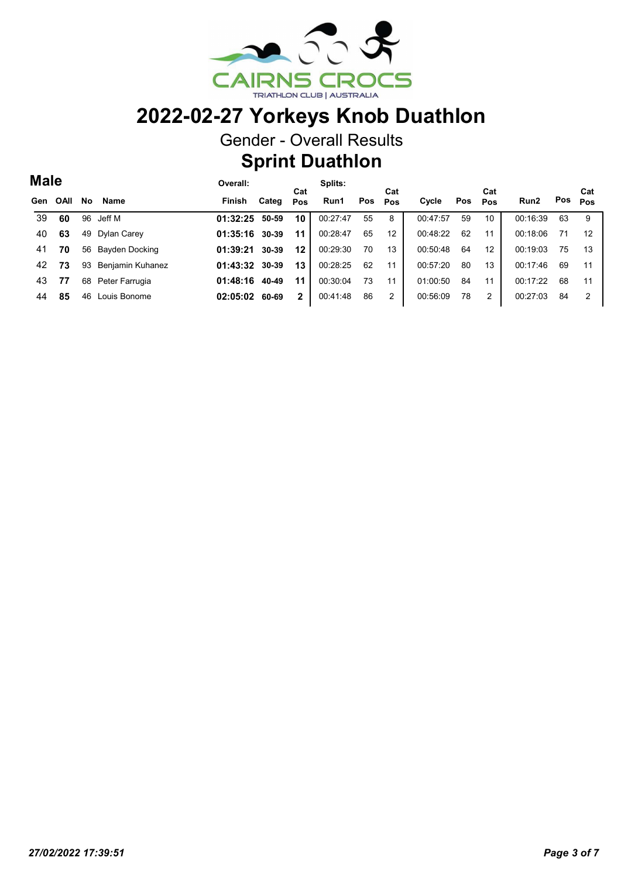

Gender - Overall Results

## Sprint Duathlon

| <b>Male</b> |             |           |                  | Overall: |       |              | Splits:  |     |            |          |     | Cat |                  |     | Cat |
|-------------|-------------|-----------|------------------|----------|-------|--------------|----------|-----|------------|----------|-----|-----|------------------|-----|-----|
| Gen         | <b>OAII</b> | <b>No</b> | Name             | Finish   | Categ | Cat<br>Pos   | Run1     | Pos | Cat<br>Pos | Cycle    | Pos | Pos | Run <sub>2</sub> | Pos | Pos |
| 39          | 60          | 96        | Jeff M           | 01:32:25 | 50-59 | 10           | 00:27:47 | 55  | 8          | 00:47:57 | 59  | 10  | 00:16:39         | 63  | 9   |
| 40          | 63          | 49        | Dylan Carey      | 01:35:16 | 30-39 | 11           | 00:28:47 | 65  | 12         | 00:48:22 | 62  | 11  | 00:18:06         | 71  | 12  |
| 41          | 70          | 56        | Bayden Docking   | 01:39:21 | 30-39 | 12           | 00:29:30 | 70  | 13         | 00:50:48 | 64  | 12  | 00:19:03         | 75  | 13  |
| 42          | 73          | 93        | Benjamin Kuhanez | 01:43:32 | 30-39 | 13           | 00:28:25 | 62  | 11         | 00:57:20 | 80  | 13  | 00:17:46         | 69  | -11 |
| 43          | 77          | 68        | Peter Farrugia   | 01:48:16 | 40-49 | 11           | 00:30:04 | 73  | 11         | 01:00:50 | 84  | 11  | 00:17:22         | 68  | 11  |
| 44          | 85          | 46        | Louis Bonome     | 02:05:02 | 60-69 | $\mathbf{2}$ | 00:41:48 | 86  | 2          | 00.56.09 | 78  | 2   | 00:27:03         | 84  | 2   |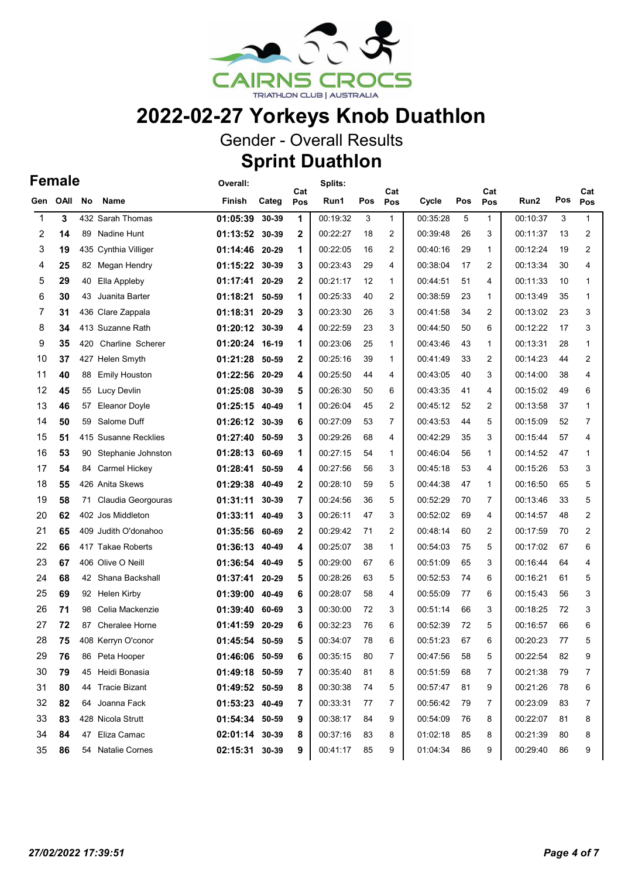

Gender - Overall Results

#### Sprint Duathlon

#### Female

|              | <b>Female</b> |     |                         | Overall:       |       | Cat          | Splits:  |     | Cat            |          |     | Cat          |          |     | Cat          |
|--------------|---------------|-----|-------------------------|----------------|-------|--------------|----------|-----|----------------|----------|-----|--------------|----------|-----|--------------|
| Gen          | OAII          | No  | Name                    | Finish         | Categ | Pos          | Run1     | Pos | Pos            | Cycle    | Pos | Pos          | Run2     | Pos | Pos          |
| $\mathbf{1}$ | 3             |     | 432 Sarah Thomas        | 01:05:39       | 30-39 | 1            | 00:19:32 | 3   | $\mathbf{1}$   | 00:35:28 | 5   | $\mathbf{1}$ | 00:10:37 | 3   | $\mathbf{1}$ |
| 2            | 14            | 89  | Nadine Hunt             | 01:13:52 30-39 |       | $\mathbf{2}$ | 00:22:27 | 18  | $\overline{2}$ | 00:39:48 | 26  | 3            | 00:11:37 | 13  | 2            |
| 3            | 19            | 435 | Cynthia Villiger        | 01:14:46 20-29 |       | 1            | 00:22:05 | 16  | $\overline{2}$ | 00:40:16 | 29  | 1            | 00:12:24 | 19  | 2            |
| 4            | 25            | 82  | Megan Hendry            | 01:15:22 30-39 |       | 3            | 00:23:43 | 29  | 4              | 00:38:04 | 17  | 2            | 00:13:34 | 30  | 4            |
| 5            | 29            | 40  | Ella Appleby            | 01:17:41 20-29 |       | $\mathbf{2}$ | 00:21:17 | 12  | $\mathbf{1}$   | 00:44:51 | 51  | 4            | 00:11:33 | 10  | $\mathbf{1}$ |
| 6            | 30            | 43  | Juanita Barter          | 01:18:21 50-59 |       | 1            | 00:25:33 | 40  | $\overline{2}$ | 00:38:59 | 23  | 1            | 00:13:49 | 35  | 1            |
| 7            | 31            |     | 436 Clare Zappala       | 01:18:31       | 20-29 | 3            | 00:23:30 | 26  | 3              | 00:41:58 | 34  | 2            | 00:13:02 | 23  | 3            |
| 8            | 34            |     | 413 Suzanne Rath        | 01:20:12 30-39 |       | 4            | 00:22:59 | 23  | 3              | 00:44:50 | 50  | 6            | 00:12:22 | 17  | 3            |
| 9            | 35            | 420 | Charline Scherer        | 01:20:24 16-19 |       | 1            | 00:23:06 | 25  | $\mathbf{1}$   | 00:43:46 | 43  | 1            | 00:13:31 | 28  | $\mathbf{1}$ |
| 10           | 37            |     | 427 Helen Smyth         | 01:21:28 50-59 |       | $\mathbf{2}$ | 00:25:16 | 39  | $\mathbf{1}$   | 00:41:49 | 33  | 2            | 00:14:23 | 44  | 2            |
| 11           | 40            | 88  | <b>Emily Houston</b>    | 01:22:56 20-29 |       | 4            | 00:25:50 | 44  | 4              | 00:43:05 | 40  | 3            | 00:14:00 | 38  | 4            |
| 12           | 45            |     | 55 Lucy Devlin          | 01:25:08 30-39 |       | 5            | 00:26:30 | 50  | 6              | 00:43:35 | 41  | 4            | 00:15:02 | 49  | 6            |
| 13           | 46            | 57  | <b>Eleanor Doyle</b>    | 01:25:15 40-49 |       | 1            | 00:26:04 | 45  | $\overline{2}$ | 00:45:12 | 52  | 2            | 00:13:58 | 37  | $\mathbf{1}$ |
| 14           | 50            | 59  | Salome Duff             | 01:26:12 30-39 |       | 6            | 00:27:09 | 53  | $\overline{7}$ | 00:43:53 | 44  | 5            | 00:15:09 | 52  | 7            |
| 15           | 51            | 415 | <b>Susanne Recklies</b> | 01:27:40       | 50-59 | 3            | 00:29:26 | 68  | 4              | 00:42:29 | 35  | 3            | 00:15:44 | 57  | 4            |
| 16           | 53            | 90  | Stephanie Johnston      | 01:28:13 60-69 |       | 1            | 00:27:15 | 54  | $\mathbf{1}$   | 00:46:04 | 56  | 1            | 00:14:52 | 47  | 1            |
| 17           | 54            | 84  | Carmel Hickey           | 01:28:41       | 50-59 | 4            | 00:27:56 | 56  | 3              | 00:45:18 | 53  | 4            | 00:15:26 | 53  | 3            |
| 18           | 55            |     | 426 Anita Skews         | 01:29:38 40-49 |       | $\mathbf{2}$ | 00:28:10 | 59  | 5              | 00:44:38 | 47  | 1            | 00:16:50 | 65  | 5            |
| 19           | 58            | 71  | Claudia Georgouras      | 01:31:11       | 30-39 | 7            | 00:24:56 | 36  | 5              | 00:52:29 | 70  | 7            | 00:13:46 | 33  | 5            |
| 20           | 62            |     | 402 Jos Middleton       | 01:33:11       | 40-49 | 3            | 00:26:11 | 47  | 3              | 00:52:02 | 69  | 4            | 00:14:57 | 48  | 2            |
| 21           | 65            |     | 409 Judith O'donahoo    | 01:35:56 60-69 |       | $\mathbf{2}$ | 00:29:42 | 71  | $\overline{2}$ | 00:48:14 | 60  | 2            | 00:17:59 | 70  | 2            |
| 22           | 66            |     | 417 Takae Roberts       | 01:36:13 40-49 |       | 4            | 00:25:07 | 38  | $\mathbf{1}$   | 00:54:03 | 75  | 5            | 00:17:02 | 67  | 6            |
| 23           | 67            |     | 406 Olive O Neill       | 01:36:54 40-49 |       | 5            | 00:29:00 | 67  | 6              | 00:51:09 | 65  | 3            | 00:16:44 | 64  | 4            |
| 24           | 68            |     | 42 Shana Backshall      | 01:37:41 20-29 |       | 5            | 00:28:26 | 63  | 5              | 00:52:53 | 74  | 6            | 00:16:21 | 61  | 5            |
| 25           | 69            | 92  | Helen Kirby             | 01:39:00 40-49 |       | 6            | 00:28:07 | 58  | 4              | 00:55:09 | 77  | 6            | 00:15:43 | 56  | 3            |
| 26           | 71            | 98  | Celia Mackenzie         | 01:39:40       | 60-69 | 3            | 00:30:00 | 72  | 3              | 00:51:14 | 66  | 3            | 00:18:25 | 72  | 3            |
| 27           | 72            | 87  | <b>Cheralee Horne</b>   | 01:41:59       | 20-29 | 6            | 00:32:23 | 76  | 6              | 00:52:39 | 72  | 5            | 00:16:57 | 66  | 6            |
| 28           | 75            |     | 408 Kerryn O'conor      | 01:45:54 50-59 |       | 5            | 00:34:07 | 78  | 6              | 00:51:23 | 67  | 6            | 00:20:23 | 77  | 5            |
| 29           | 76            |     | 86 Peta Hooper          | 01:46:06 50-59 |       | 6            | 00:35:15 | 80  | $\overline{7}$ | 00:47:56 | 58  | 5            | 00:22:54 | 82  | 9            |
| 30           | 79            |     | 45 Heidi Bonasia        | 01:49:18 50-59 |       | 7            | 00:35:40 | 81  | 8              | 00:51:59 | 68  | 7            | 00:21:38 | 79  | 7            |
| 31           | 80            |     | 44 Tracie Bizant        | 01:49:52 50-59 |       | 8            | 00:30:38 | 74  | 5              | 00:57:47 | 81  | 9            | 00:21:26 | 78  | 6            |
| 32           | 82            |     | 64 Joanna Fack          | 01:53:23 40-49 |       | 7            | 00:33:31 | 77  | 7              | 00:56:42 | 79  | 7            | 00:23:09 | 83  | 7            |
| 33           | 83            |     | 428 Nicola Strutt       | 01:54:34 50-59 |       | 9            | 00:38:17 | 84  | 9              | 00:54:09 | 76  | 8            | 00:22:07 | 81  | 8            |
| 34           | 84            |     | 47 Eliza Camac          | 02:01:14 30-39 |       | 8            | 00:37:16 | 83  | 8              | 01:02:18 | 85  | 8            | 00:21:39 | 80  | 8            |
| 35           | 86            |     | 54 Natalie Cornes       | 02:15:31 30-39 |       | 9            | 00:41:17 | 85  | 9              | 01:04:34 | 86  | 9            | 00:29:40 | 86  | 9            |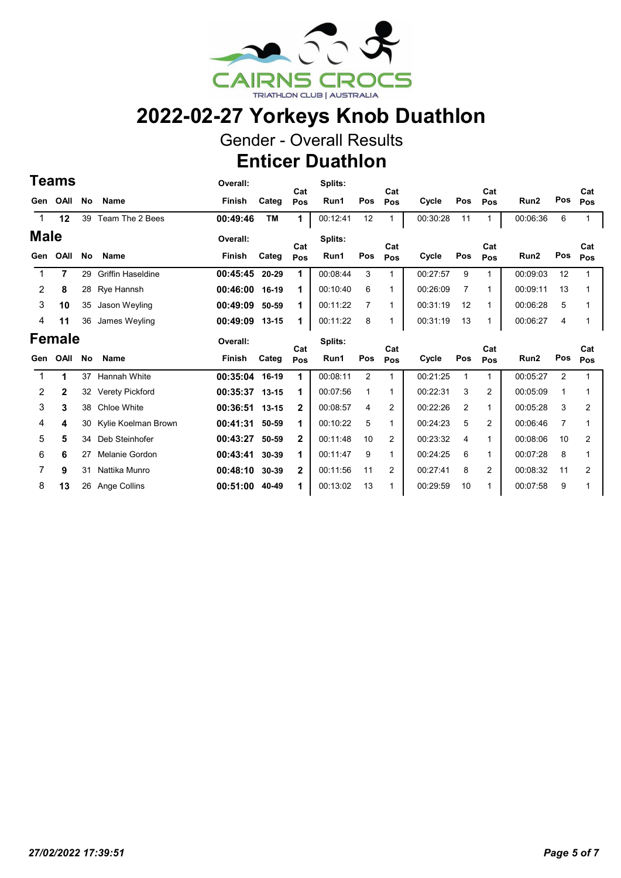

Gender - Overall Results

Enticer Duathlon

|               | <b>Teams</b> |    |                          | Overall:      |           | Cat          | Splits:  |                | Cat            |          |                | Cat            |                  |                | Cat          |
|---------------|--------------|----|--------------------------|---------------|-----------|--------------|----------|----------------|----------------|----------|----------------|----------------|------------------|----------------|--------------|
| Gen           | <b>OAII</b>  | No | <b>Name</b>              | Finish        | Categ     | Pos          | Run1     | Pos            | Pos            | Cycle    | Pos            | Pos            | Run <sub>2</sub> | Pos            | Pos          |
| $\mathbf 1$   | 12           | 39 | Team The 2 Bees          | 00:49:46      | <b>TM</b> | $\mathbf{1}$ | 00:12:41 | 12             | 1              | 00:30:28 | 11             | 1              | 00:06:36         | 6              | 1            |
| <b>Male</b>   |              |    |                          | Overall:      |           | Cat          | Splits:  |                | Cat            |          |                | Cat            |                  |                | Cat          |
| Gen           | OAII         | No | <b>Name</b>              | Finish        | Categ     | Pos          | Run1     | Pos            | Pos            | Cycle    | Pos            | Pos            | Run <sub>2</sub> | Pos            | Pos          |
|               | 7            | 29 | <b>Griffin Haseldine</b> | 00:45:45      | 20-29     | 1            | 00:08:44 | 3              | 1              | 00:27:57 | 9              | 1              | 00:09:03         | 12             | 1            |
| 2             | 8            | 28 | Rye Hannsh               | 00:46:00      | 16-19     | 1            | 00:10:40 | 6              | 1              | 00:26:09 | $\overline{7}$ | 1              | 00:09:11         | 13             | 1            |
| 3             | 10           | 35 | Jason Weyling            | 00:49:09      | 50-59     | 1            | 00:11:22 | 7              | 1              | 00:31:19 | 12             | 1              | 00:06:28         | 5              | 1            |
| 4             | 11           | 36 | James Weyling            | 00:49:09      | $13 - 15$ | 1            | 00:11:22 | 8              |                | 00:31:19 | 13             | 1              | 00:06:27         | 4              | 1            |
| <b>Female</b> |              |    |                          |               |           |              |          |                |                |          |                |                |                  |                |              |
|               |              |    |                          | Overall:      |           |              | Splits:  |                |                |          |                |                |                  |                |              |
| Gen           | OAII         | No | <b>Name</b>              | <b>Finish</b> | Categ     | Cat<br>Pos   | Run1     | Pos            | Cat<br>Pos     | Cycle    | Pos            | Cat<br>Pos     | Run <sub>2</sub> | Pos            | Cat<br>Pos   |
|               | 1            | 37 | <b>Hannah White</b>      | 00:35:04      | 16-19     | 1            | 00:08:11 | $\overline{2}$ | 1              | 00:21:25 | 1              | 1              | 00:05:27         | $\overline{2}$ | 1            |
| 2             | $\mathbf{2}$ | 32 | Verety Pickford          | 00:35:37      | $13 - 15$ | 1            | 00:07:56 | 1              | 1              | 00:22:31 | 3              | 2              | 00:05:09         | 1              | 1            |
| 3             | 3            | 38 | Chloe White              | 00:36:51      | $13 - 15$ | $\mathbf{2}$ | 00:08:57 | 4              | 2              | 00:22:26 | 2              | 1              | 00:05:28         | 3              | 2            |
| 4             | 4            | 30 | Kylie Koelman Brown      | 00:41:31      | 50-59     | 1            | 00:10:22 | 5              | 1              | 00:24:23 | 5              | 2              | 00:06:46         | 7              | $\mathbf{1}$ |
| 5             | 5            | 34 | Deb Steinhofer           | 00:43:27      | 50-59     | $\mathbf{2}$ | 00:11:48 | 10             | 2              | 00:23:32 | $\overline{4}$ | 1              | 00:08:06         | 10             | 2            |
| 6             | 6            | 27 | Melanie Gordon           | 00:43:41      | 30-39     | 1            | 00:11:47 | 9              | 1.             | 00:24:25 | 6              | 1              | 00:07:28         | 8              | $\mathbf{1}$ |
| 7             | 9            | 31 | Nattika Munro            | 00:48:10      | 30-39     | $\mathbf{2}$ | 00:11:56 | 11             | $\overline{2}$ | 00:27:41 | 8              | $\overline{2}$ | 00:08:32         | 11             | 2            |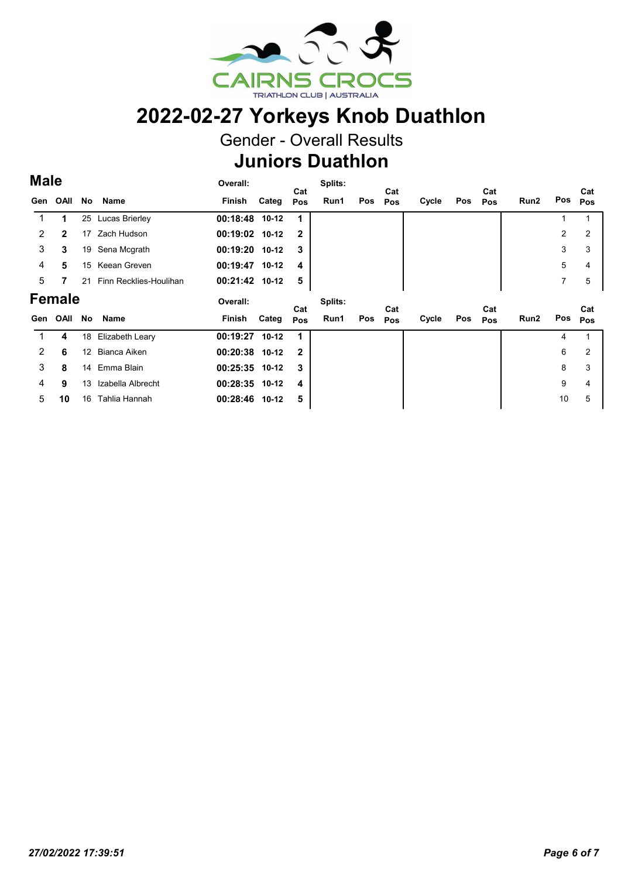

Gender - Overall Results

## Juniors Duathlon

#### Male

| <b>Male</b>    |              |                   |                        | Overall:       |       |              | Splits: |     |            |       |     |            |      |     |            |
|----------------|--------------|-------------------|------------------------|----------------|-------|--------------|---------|-----|------------|-------|-----|------------|------|-----|------------|
| Gen            | OAII         | No                | Name                   | Finish Categ   |       | Cat<br>Pos   | Run1    | Pos | Cat<br>Pos | Cycle | Pos | Cat<br>Pos | Run2 | Pos | Cat<br>Pos |
|                | 1            |                   | 25 Lucas Brierley      | 00:18:48 10-12 |       | 1            |         |     |            |       |     |            |      |     |            |
| 2              | $\mathbf{2}$ | 17                | Zach Hudson            | 00:19:02 10-12 |       | $\mathbf{2}$ |         |     |            |       |     |            |      | 2   | 2          |
| 3              | 3            | 19                | Sena Mcgrath           | 00:19:20 10-12 |       | 3            |         |     |            |       |     |            |      | 3   | 3          |
| 4              | 5            | 15                | Keean Greven           | 00:19:47 10-12 |       | 4            |         |     |            |       |     |            |      | 5   |            |
| 5              | 7            | 21                | Finn Recklies-Houlihan | 00:21:42 10-12 |       | 5            |         |     |            |       |     |            |      | 7   | 5          |
| <b>Female</b>  |              |                   |                        |                |       |              |         |     |            |       |     |            |      |     |            |
|                |              |                   |                        | Overall:       |       |              | Splits: |     |            |       |     |            |      |     |            |
| Gen            | OAII         | No                | Name                   | Finish         | Categ | Cat<br>Pos   | Run1    | Pos | Cat<br>Pos | Cycle | Pos | Cat<br>Pos | Run2 | Pos | Cat<br>Pos |
|                | 4            | 18                | Elizabeth Leary        | 00:19:27 10-12 |       |              |         |     |            |       |     |            |      | 4   |            |
| $\overline{2}$ | 6            | $12 \overline{ }$ | Bianca Aiken           | 00:20:38 10-12 |       | $\mathbf{2}$ |         |     |            |       |     |            |      | 6   | 2          |
| 3              | 8            | 14                | Emma Blain             | 00:25:35 10-12 |       | 3            |         |     |            |       |     |            |      | 8   | 3          |
| 4              | 9            | 13                | Izabella Albrecht      | 00:28:35 10-12 |       | 4            |         |     |            |       |     |            |      | 9   |            |